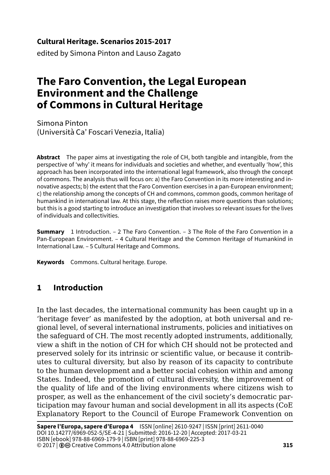#### **Cultural Heritage. Scenarios 2015-2017**

edited by Simona Pinton and Lauso Zagato

# **The Faro Convention, the Legal European Environment and the Challenge of Commons in Cultural Heritage**

Simona Pinton (Università Ca' Foscari Venezia, Italia)

**Abstract** The paper aims at investigating the role of CH, both tangible and intangible, from the perspective of 'why' it means for individuals and societies and whether, and eventually 'how', this approach has been incorporated into the international legal framework, also through the concept of commons. The analysis thus will focus on: a) the Faro Convention in its more interesting and innovative aspects; b) the extent that the Faro Convention exercises in a pan-European environment; c) the relationship among the concepts of CH and commons, common goods, common heritage of humankind in international law. At this stage, the reflection raises more questions than solutions; but this is a good starting to introduce an investigation that involves so relevant issues for the lives of individuals and collectivities.

**Summary** 1 Introduction. – 2 The Faro Convention. – 3 The Role of the Faro Convention in a Pan-European Environment. – 4 Cultural Heritage and the Common Heritage of Humankind in International Law. – 5 Cultural Heritage and Commons.

**Keywords** Commons. Cultural heritage. Europe.

# **1 Introduction**

In the last decades, the international community has been caught up in a 'heritage fever' as manifested by the adoption, at both universal and regional level, of several international instruments, policies and initiatives on the safeguard of CH. The most recently adopted instruments, additionally, view a shift in the notion of CH for which CH should not be protected and preserved solely for its intrinsic or scientific value, or because it contributes to cultural diversity, but also by reason of its capacity to contribute to the human development and a better social cohesion within and among States. Indeed, the promotion of cultural diversity, the improvement of the quality of life and of the living environments where citizens wish to prosper, as well as the enhancement of the civil society's democratic participation may favour human and social development in all its aspects (CoE Explanatory Report to the Council of Europe Framework Convention on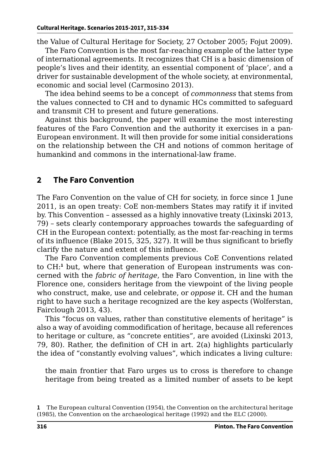the Value of Cultural Heritage for Society, 27 October 2005; Fojut 2009).

The Faro Convention is the most far-reaching example of the latter type of international agreements. It recognizes that CH is a basic dimension of people's lives and their identity, an essential component of 'place', and a driver for sustainable development of the whole society, at environmental, economic and social level (Carmosino 2013).

The idea behind seems to be a concept of *commonness* that stems from the values connected to CH and to dynamic HCs committed to safeguard and transmit CH to present and future generations.

Against this background, the paper will examine the most interesting features of the Faro Convention and the authority it exercises in a pan-European environment. It will then provide for some initial considerations on the relationship between the CH and notions of common heritage of humankind and commons in the international-law frame.

# **2 The Faro Convention**

The Faro Convention on the value of CH for society, in force since 1 June 2011, is an open treaty: CoE non-members States may ratify it if invited by. This Convention – assessed as a highly innovative treaty (Lixinski 2013, 79) – sets clearly contemporary approaches towards the safeguarding of CH in the European context: potentially, as the most far-reaching in terms of its influence (Blake 2015, 325, 327). It will be thus significant to briefly clarify the nature and extent of this influence.

The Faro Convention complements previous CoE Conventions related to CH:<sup>1</sup> but, where that generation of European instruments was concerned with the *fabric of heritage*, the Faro Convention, in line with the Florence one, considers heritage from the viewpoint of the living people who construct, make, use and celebrate, or *oppose* it. CH and the human right to have such a heritage recognized are the key aspects (Wolferstan, Fairclough 2013, 43).

This "focus on values, rather than constitutive elements of heritage" is also a way of avoiding commodification of heritage, because all references to heritage or culture, as "concrete entities", are avoided (Lixinski 2013, 79, 80). Rather, the definition of CH in art. 2(a) highlights particularly the idea of "constantly evolving values", which indicates a living culture:

the main frontier that Faro urges us to cross is therefore to change heritage from being treated as a limited number of assets to be kept

**<sup>1</sup>** The European cultural Convention (1954), the Convention on the architectural heritage (1985), the Convention on the archaeological heritage (1992) and the ELC (2000).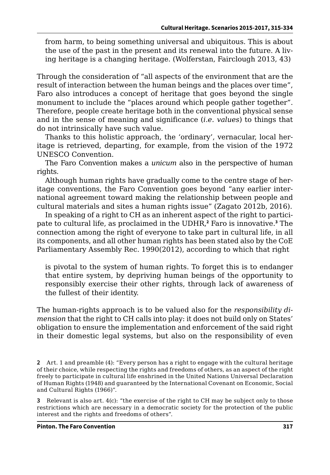from harm, to being something universal and ubiquitous. This is about the use of the past in the present and its renewal into the future. A living heritage is a changing heritage. (Wolferstan, Fairclough 2013, 43)

Through the consideration of "all aspects of the environment that are the result of interaction between the human beings and the places over time", Faro also introduces a concept of heritage that goes beyond the single monument to include the "places around which people gather together". Therefore, people create heritage both in the conventional physical sense and in the sense of meaning and significance (*i.e. values*) to things that do not intrinsically have such value.

Thanks to this holistic approach, the 'ordinary', vernacular, local heritage is retrieved, departing, for example, from the vision of the 1972 UNESCO Convention.

The Faro Convention makes a *unicum* also in the perspective of human rights.

Although human rights have gradually come to the centre stage of heritage conventions, the Faro Convention goes beyond "any earlier international agreement toward making the relationship between people and cultural materials and sites a human rights issue" (Zagato 2012b, 2016).

In speaking of a right to CH as an inherent aspect of the right to participate to cultural life, as proclaimed in the UDHR,**<sup>2</sup>** Faro is innovative.**<sup>3</sup>** The connection among the right of everyone to take part in cultural life, in all its components, and all other human rights has been stated also by the CoE Parliamentary Assembly Rec. 1990(2012), according to which that right

is pivotal to the system of human rights. To forget this is to endanger that entire system, by depriving human beings of the opportunity to responsibly exercise their other rights, through lack of awareness of the fullest of their identity.

The human-rights approach is to be valued also for the *responsibility dimension* that the right to CH calls into play: it does not build only on States' obligation to ensure the implementation and enforcement of the said right in their domestic legal systems, but also on the responsibility of even

**<sup>2</sup>** Art. 1 and preamble (4): "Every person has a right to engage with the cultural heritage of their choice, while respecting the rights and freedoms of others, as an aspect of the right freely to participate in cultural life enshrined in the United Nations Universal Declaration of Human Rights (1948) and guaranteed by the International Covenant on Economic, Social and Cultural Rights (1966)".

**<sup>3</sup>** Relevant is also art. 4(c): "the exercise of the right to CH may be subject only to those restrictions which are necessary in a democratic society for the protection of the public interest and the rights and freedoms of others".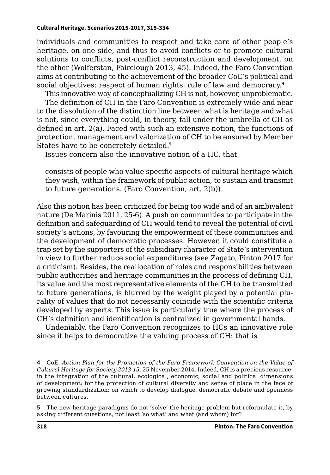individuals and communities to respect and take care of other people's heritage, on one side, and thus to avoid conflicts or to promote cultural solutions to conflicts, post-conflict reconstruction and development, on the other (Wolferstan, Fairclough 2013, 45). Indeed, the Faro Convention aims at contributing to the achievement of the broader CoE's political and social objectives: respect of human rights, rule of law and democracy.**<sup>4</sup>**

This innovative way of conceptualizing CH is not, however, unproblematic.

The definition of CH in the Faro Convention is extremely wide and near to the dissolution of the distinction line between what is heritage and what is not, since everything could, in theory, fall under the umbrella of CH as defined in art. 2(a). Faced with such an extensive notion, the functions of protection, management and valorization of CH to be ensured by Member States have to be concretely detailed.**<sup>5</sup>**

Issues concern also the innovative notion of a HC, that

consists of people who value specific aspects of cultural heritage which they wish, within the framework of public action, to sustain and transmit to future generations. (Faro Convention, art. 2(b))

Also this notion has been criticized for being too wide and of an ambivalent nature (De Marinis 2011, 25-6). A push on communities to participate in the definition and safeguarding of CH would tend to reveal the potential of civil society's actions, by favouring the empowerment of these communities and the development of democratic processes. However, it could constitute a trap set by the supporters of the subsidiary character of State's intervention in view to further reduce social expenditures (see Zagato, Pinton 2017 for a criticism). Besides, the reallocation of roles and responsibilities between public authorities and heritage communities in the process of defining CH, its value and the most representative elements of the CH to be transmitted to future generations, is blurred by the weight played by a potential plurality of values that do not necessarily coincide with the scientific criteria developed by experts. This issue is particularly true where the process of CH's definition and identification is centralized in governmental hands.

Undeniably, the Faro Convention recognizes to HCs an innovative role since it helps to democratize the valuing process of CH: that is

**4** CoE, *Action Plan for the Promotion of the Faro Framework Convention on the Value of Cultural Heritage for Society 2013-15*, 25 November 2014. Indeed, CH is a precious resource: in the integration of the cultural, ecological, economic, social and political dimensions of development; for the protection of cultural diversity and sense of place in the face of growing standardization; on which to develop dialogue, democratic debate and openness between cultures.

**5** The new heritage paradigms do not 'solve' the heritage problem but reformulate it, by asking different questions, not least 'so what' and what (and whom) for?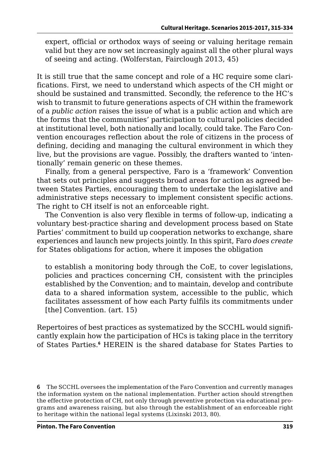expert, official or orthodox ways of seeing or valuing heritage remain valid but they are now set increasingly against all the other plural ways of seeing and acting. (Wolferstan, Fairclough 2013, 45)

It is still true that the same concept and role of a HC require some clarifications. First, we need to understand which aspects of the CH might or should be sustained and transmitted. Secondly, the reference to the HC's wish to transmit to future generations aspects of CH within the framework of a *public action* raises the issue of what is a public action and which are the forms that the communities' participation to cultural policies decided at institutional level, both nationally and locally, could take. The Faro Convention encourages reflection about the role of citizens in the process of defining, deciding and managing the cultural environment in which they live, but the provisions are vague. Possibly, the drafters wanted to 'intentionally' remain generic on these themes.

Finally, from a general perspective, Faro is a 'framework' Convention that sets out principles and suggests broad areas for action as agreed between States Parties, encouraging them to undertake the legislative and administrative steps necessary to implement consistent specific actions. The right to CH itself is not an enforceable right.

The Convention is also very flexible in terms of follow-up, indicating a voluntary best-practice sharing and development process based on State Parties' commitment to build up cooperation networks to exchange, share experiences and launch new projects jointly. In this spirit, Faro *does create* for States obligations for action, where it imposes the obligation

to establish a monitoring body through the CoE, to cover legislations, policies and practices concerning CH, consistent with the principles established by the Convention; and to maintain, develop and contribute data to a shared information system, accessible to the public, which facilitates assessment of how each Party fulfils its commitments under [the] Convention. (art. 15)

Repertoires of best practices as systematized by the SCCHL would significantly explain how the participation of HCs is taking place in the territory of States Parties.**<sup>6</sup>** HEREIN is the shared database for States Parties to

**<sup>6</sup>** The SCCHL oversees the implementation of the Faro Convention and currently manages the information system on the national implementation. Further action should strengthen the effective protection of CH, not only through preventive protection via educational programs and awareness raising, but also through the establishment of an enforceable right to heritage within the national legal systems (Lixinski 2013, 80).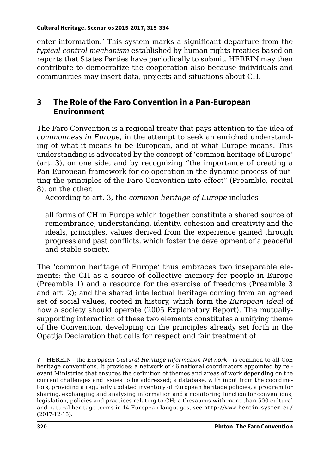enter information.**<sup>7</sup>** This system marks a significant departure from the *typical control mechanism* established by human rights treaties based on reports that States Parties have periodically to submit. HEREIN may then contribute to democratize the cooperation also because individuals and communities may insert data, projects and situations about CH.

## **3 The Role of the Faro Convention in a Pan-European Environment**

The Faro Convention is a regional treaty that pays attention to the idea of *commonness in Europe*, in the attempt to seek an enriched understanding of what it means to be European, and of what Europe means. This understanding is advocated by the concept of 'common heritage of Europe' (art. 3), on one side, and by recognizing "the importance of creating a Pan-European framework for co-operation in the dynamic process of putting the principles of the Faro Convention into effect" (Preamble, recital 8), on the other.

According to art. 3, the *common heritage of Europe* includes

all forms of CH in Europe which together constitute a shared source of remembrance, understanding, identity, cohesion and creativity and the ideals, principles, values derived from the experience gained through progress and past conflicts, which foster the development of a peaceful and stable society.

The 'common heritage of Europe' thus embraces two inseparable elements: the CH as a source of collective memory for people in Europe (Preamble 1) and a resource for the exercise of freedoms (Preamble 3 and art. 2); and the shared intellectual heritage coming from an agreed set of social values, rooted in history, which form the *European ideal* of how a society should operate (2005 Explanatory Report). The mutuallysupporting interaction of these two elements constitutes a unifying theme of the Convention, developing on the principles already set forth in the Opatija Declaration that calls for respect and fair treatment of

**7** HEREIN - the *European Cultural Heritage Information Network* - is common to all CoE heritage conventions. It provides: a network of 46 national coordinators appointed by relevant Ministries that ensures the definition of themes and areas of work depending on the current challenges and issues to be addressed; a database, with input from the coordinators, providing a regularly updated inventory of European heritage policies, a program for sharing, exchanging and analysing information and a monitoring function for conventions, legislation, policies and practices relating to CH; a thesaurus with more than 500 cultural and natural heritage terms in 14 European languages, see <http://www.herein-system.eu/> (2017-12-15).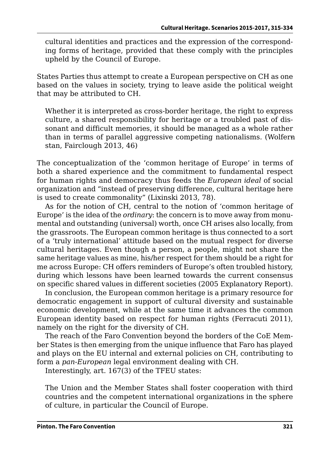cultural identities and practices and the expression of the corresponding forms of heritage, provided that these comply with the principles upheld by the Council of Europe.

States Parties thus attempt to create a European perspective on CH as one based on the values in society, trying to leave aside the political weight that may be attributed to CH.

Whether it is interpreted as cross-border heritage, the right to express culture, a shared responsibility for heritage or a troubled past of dissonant and difficult memories, it should be managed as a whole rather than in terms of parallel aggressive competing nationalisms. (Wolfern stan, Fairclough 2013, 46)

The conceptualization of the 'common heritage of Europe' in terms of both a shared experience and the commitment to fundamental respect for human rights and democracy thus feeds the *European ideal* of social organization and "instead of preserving difference, cultural heritage here is used to create commonality" (Lixinski 2013, 78).

As for the notion of CH, central to the notion of 'common heritage of Europe' is the idea of the *ordinary*: the concern is to move away from monumental and outstanding (universal) worth, once CH arises also locally, from the grassroots. The European common heritage is thus connected to a sort of a 'truly international' attitude based on the mutual respect for diverse cultural heritages. Even though a person, a people, might not share the same heritage values as mine, his/her respect for them should be a right for me across Europe: CH offers reminders of Europe's often troubled history, during which lessons have been learned towards the current consensus on specific shared values in different societies (2005 Explanatory Report).

In conclusion, the European common heritage is a primary resource for democratic engagement in support of cultural diversity and sustainable economic development, while at the same time it advances the common European identity based on respect for human rights (Ferracuti 2011), namely on the right for the diversity of CH.

The reach of the Faro Convention beyond the borders of the CoE Member States is then emerging from the unique influence that Faro has played and plays on the EU internal and external policies on CH, contributing to form a *pan-European* legal environment dealing with CH.

Interestingly, art. 167(3) of the TFEU states:

The Union and the Member States shall foster cooperation with third countries and the competent international organizations in the sphere of culture, in particular the Council of Europe.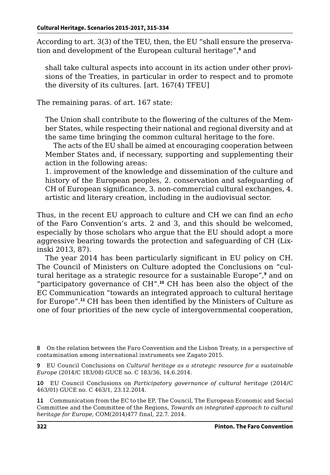According to art. 3(3) of the TEU, then, the EU "shall ensure the preservation and development of the European cultural heritage",**<sup>8</sup>** and

shall take cultural aspects into account in its action under other provisions of the Treaties, in particular in order to respect and to promote the diversity of its cultures. [art. 167(4) TFEU]

The remaining paras. of art. 167 state:

The Union shall contribute to the flowering of the cultures of the Member States, while respecting their national and regional diversity and at the same time bringing the common cultural heritage to the fore.

The acts of the EU shall be aimed at encouraging cooperation between Member States and, if necessary, supporting and supplementing their action in the following areas:

1. improvement of the knowledge and dissemination of the culture and history of the European peoples, 2. conservation and safeguarding of CH of European significance, 3. non-commercial cultural exchanges, 4. artistic and literary creation, including in the audiovisual sector.

Thus, in the recent EU approach to culture and CH we can find an *echo*  of the Faro Convention's arts. 2 and 3, and this should be welcomed, especially by those scholars who argue that the EU should adopt a more aggressive bearing towards the protection and safeguarding of CH (Lixinski 2013, 87).

The year 2014 has been particularly significant in EU policy on CH. The Council of Ministers on Culture adopted the Conclusions on "cultural heritage as a strategic resource for a sustainable Europe",**<sup>9</sup>** and on "participatory governance of CH".**<sup>10</sup>** CH has been also the object of the EC Communication "towards an integrated approach to cultural heritage for Europe".**<sup>11</sup>** CH has been then identified by the Ministers of Culture as one of four priorities of the new cycle of intergovernmental cooperation,

**8** On the relation between the Faro Convention and the Lisbon Treaty, in a perspective of contamination among international instruments see Zagato 2015.

**9** EU Council Conclusions on *Cultural heritage as a strategic resource for a sustainable Europe* (2014/C 183/08) GUCE no. C 183/36, 14.6.2014.

**10** EU Council Conclusions on *Participatory governance of cultural heritage* (2014/C 463/01) GUCE no. C 463/1, 23.12.2014.

**11** Communication from the EC to the EP, The Council, The European Economic and Social Committee and the Committee of the Regions, *Towards an integrated approach to cultural heritage for Europe*, COM(2014)477 final, 22.7. 2014.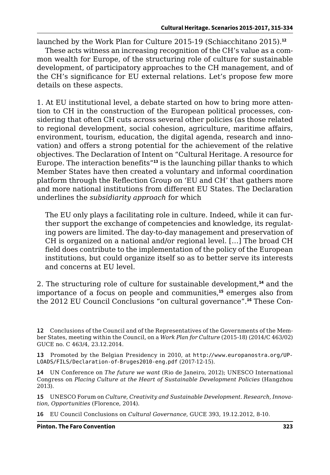launched by the Work Plan for Culture 2015-19 (Schiacchitano 2015).**<sup>12</sup>**

These acts witness an increasing recognition of the CH's value as a common wealth for Europe, of the structuring role of culture for sustainable development, of participatory approaches to the CH management, and of the CH's significance for EU external relations. Let's propose few more details on these aspects.

1. At EU institutional level, a debate started on how to bring more attention to CH in the construction of the European political processes, considering that often CH cuts across several other policies (as those related to regional development, social cohesion, agriculture, maritime affairs, environment, tourism, education, the digital agenda, research and innovation) and offers a strong potential for the achievement of the relative objectives. The Declaration of Intent on "Cultural Heritage. A resource for Europe. The interaction benefits"**<sup>13</sup>** is the launching pillar thanks to which Member States have then created a voluntary and informal coordination platform through the Reflection Group on 'EU and CH' that gathers more and more national institutions from different EU States. The Declaration underlines the *subsidiarity approach* for which

The EU only plays a facilitating role in culture. Indeed, while it can further support the exchange of competencies and knowledge, its regulating powers are limited. The day-to-day management and preservation of CH is organized on a national and/or regional level. […] The broad CH field does contribute to the implementation of the policy of the European institutions, but could organize itself so as to better serve its interests and concerns at EU level.

2. The structuring role of culture for sustainable development,**<sup>14</sup>** and the importance of a focus on people and communities,**<sup>15</sup>** emerges also from the 2012 EU Council Conclusions "on cultural governance".**16** These Con-

**13** Promoted by the Belgian Presidency in 2010, at [http://www.europanostra.org/UP-](http://www.europanostra.org/UPLOADS/FILS/Declaration-of-Bruges2010-eng.pdf)[LOADS/FILS/Declaration-of-Bruges2010-eng.pdf](http://www.europanostra.org/UPLOADS/FILS/Declaration-of-Bruges2010-eng.pdf) (2017-12-15).

**14** UN Conference on *The future we want* (Rio de Janeiro, 2012); UNESCO International Congress on *Placing Culture at the Heart of Sustainable Development Policies* (Hangzhou 2013).

**15** UNESCO Forum on *Culture, Creativity and Sustainable Development. Research, Innovation, Opportunities* (Florence, 2014).

**16** EU Council Conclusions on *Cultural Governance*, GUCE 393, 19.12.2012, 8-10.

**<sup>12</sup>** Conclusions of the Council and of the Representatives of the Governments of the Member States, meeting within the Council, on a *Work Plan for Culture* (2015-18) (2014/C 463/02) GUCE no. C 463/4, 23.12.2014.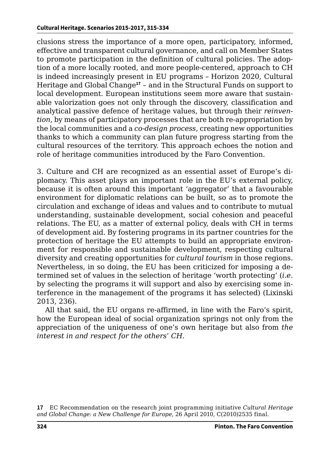clusions stress the importance of a more open, participatory, informed, effective and transparent cultural governance, and call on Member States to promote participation in the definition of cultural policies. The adoption of a more locally rooted, and more people-centered, approach to CH is indeed increasingly present in EU programs – Horizon 2020, Cultural Heritage and Global Change**<sup>17</sup>** – and in the Structural Funds on support to local development. European institutions seem more aware that sustainable valorization goes not only through the discovery, classification and analytical passive defence of heritage values, but through their *reinvention*, by means of participatory processes that are both re-appropriation by the local communities and a *co-design process*, creating new opportunities thanks to which a community can plan future progress starting from the cultural resources of the territory. This approach echoes the notion and role of heritage communities introduced by the Faro Convention.

3. Culture and CH are recognized as an essential asset of Europe's diplomacy. This asset plays an important role in the EU's external policy, because it is often around this important 'aggregator' that a favourable environment for diplomatic relations can be built, so as to promote the circulation and exchange of ideas and values and to contribute to mutual understanding, sustainable development, social cohesion and peaceful relations. The EU, as a matter of external policy, deals with CH in terms of development aid. By fostering programs in its partner countries for the protection of heritage the EU attempts to build an appropriate environment for responsible and sustainable development, respecting cultural diversity and creating opportunities for *cultural tourism* in those regions. Nevertheless, in so doing, the EU has been criticized for imposing a determined set of values in the selection of heritage 'worth protecting' (*i.e.* by selecting the programs it will support and also by exercising some interference in the management of the programs it has selected) (Lixinski 2013, 236).

All that said, the EU organs re-affirmed, in line with the Faro's spirit, how the European ideal of social organization springs not only from the appreciation of the uniqueness of one's own heritage but also from *the interest in and respect for the others*' *CH*.

**17** EC Recommendation on the research joint programming initiative *Cultural Heritage and Global Change: a New Challenge for Europe*, 26 April 2010, C(2010)2535 final.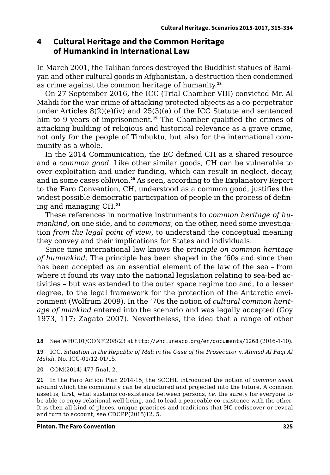#### **4 Cultural Heritage and the Common Heritage of Humankind in International Law**

In March 2001, the Taliban forces destroyed the Buddhist statues of Bamiyan and other cultural goods in Afghanistan, a destruction then condemned as crime against the common heritage of humanity.**<sup>18</sup>**

On 27 September 2016, the ICC (Trial Chamber VIII) convicted Mr. Al Mahdi for the war crime of attacking protected objects as a co-perpetrator under Articles 8(2)(e)(iv) and 25(3)(a) of the ICC Statute and sentenced him to 9 years of imprisonment.**<sup>19</sup>** The Chamber qualified the crimes of attacking building of religious and historical relevance as a grave crime, not only for the people of Timbuktu, but also for the international community as a whole.

In the 2014 Communication, the EC defined CH as a shared resource and a *common good*. Like other similar goods, CH can be vulnerable to over-exploitation and under-funding, which can result in neglect, decay, and in some cases oblivion.**<sup>20</sup>** As seen, according to the Explanatory Report to the Faro Convention, CH, understood as a common good, justifies the widest possible democratic participation of people in the process of defining and managing CH.**<sup>21</sup>**

These references in normative instruments to *common heritage of humankind*, on one side, and to *commons*, on the other, need some investigation *from the legal point of view*, to understand the conceptual meaning they convey and their implications for States and individuals.

Since time international law knows the *principle on common heritage of humankind*. The principle has been shaped in the '60s and since then has been accepted as an essential element of the law of the sea – from where it found its way into the national legislation relating to sea-bed activities – but was extended to the outer space regime too and, to a lesser degree, to the legal framework for the protection of the Antarctic environment (Wolfrum 2009). In the '70s the notion of *cultural common heritage of mankind* entered into the scenario and was legally accepted (Goy 1973, 117; Zagato 2007). Nevertheless, the idea that a range of other

**18** See WHC.01/CONF.208/23 at <http://whc.unesco.org/en/documents/1268> (2016-1-10).

**19** ICC, *Situation in the Republic of Mali in the Case of the Prosecutor* v. *Ahmad Al Faqi Al Mahdi*, No. ICC-01/12-01/15.

**20** COM(2014) 477 final, 2.

**21** In the Faro Action Plan 2014-15, the SCCHL introduced the notion of *common asset* around which the community can be structured and projected into the future. A common asset is, first, what sustains co-existence between persons, *i.e.* the surety for everyone to be able to enjoy relational well-being, and to lead a peaceable co-existence with the other. It is then all kind of places, unique practices and traditions that HC rediscover or reveal and turn to account, see CDCPP(2015)12, 5.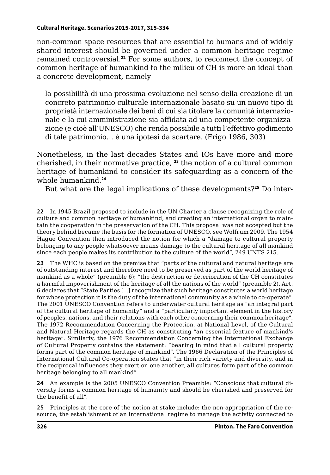non-common space resources that are essential to humans and of widely shared interest should be governed under a common heritage regime remained controversial.**<sup>22</sup>** For some authors, to reconnect the concept of common heritage of humankind to the milieu of CH is more an ideal than a concrete development, namely

la possibilità di una prossima evoluzione nel senso della creazione di un concreto patrimonio culturale internazionale basato su un nuovo tipo di proprietà internazionale dei beni di cui sia titolare la comunità internazionale e la cui amministrazione sia affidata ad una competente organizzazione (e cioè all'UNESCO) che renda possibile a tutti l'effettivo godimento di tale patrimonio… è una ipotesi da scartare. (Frigo 1986, 303)

Nonetheless, in the last decades States and IOs have more and more cherished, in their normative practice, **<sup>23</sup>** the notion of a cultural common heritage of humankind to consider its safeguarding as a concern of the whole humankind.**<sup>24</sup>**

But what are the legal implications of these developments?**25** Do inter-

**22** In 1945 Brazil proposed to include in the UN Charter a clause recognizing the role of culture and common heritage of humankind, and creating an international organ to maintain the cooperation in the preservation of the CH. This proposal was not accepted but the theory behind became the basis for the formation of UNESCO, see Wolfrum 2009. The 1954 Hague Convention then introduced the notion for which a "damage to cultural property belonging to any people whatsoever means damage to the cultural heritage of all mankind since each people makes its contribution to the culture of the world", 249 UNTS 215.

**23** The WHC is based on the premise that "parts of the cultural and natural heritage are of outstanding interest and therefore need to be preserved as part of the world heritage of mankind as a whole" (preamble 6); "the destruction or deterioration of the CH constitutes a harmful impoverishment of the heritage of all the nations of the world" (preamble 2). Art. 6 declares that "State Parties […] recognize that such heritage constitutes a world heritage for whose protection it is the duty of the international community as a whole to co-operate". The 2001 UNESCO Convention refers to underwater cultural heritage as "an integral part of the cultural heritage of humanity" and a "particularly important element in the history of peoples, nations, and their relations with each other concerning their common heritage". The 1972 Recommendation Concerning the Protection, at National Level, of the Cultural and Natural Heritage regards the CH as constituting "an essential feature of mankind's heritage". Similarly, the 1976 Recommendation Concerning the International Exchange of Cultural Property contains the statement: "bearing in mind that all cultural property forms part of the common heritage of mankind". The 1966 Declaration of the Principles of International Cultural Co-operation states that "in their rich variety and diversity, and in the reciprocal influences they exert on one another, all cultures form part of the common heritage belonging to all mankind".

**24** An example is the 2005 UNESCO Convention Preamble: "Consciou*s* that cultural diversity forms a common heritage of humanity and should be cherished and preserved for the benefit of all".

**25** Principles at the core of the notion at stake include: the non-appropriation of the resource, the establishment of an international regime to manage the activity connected to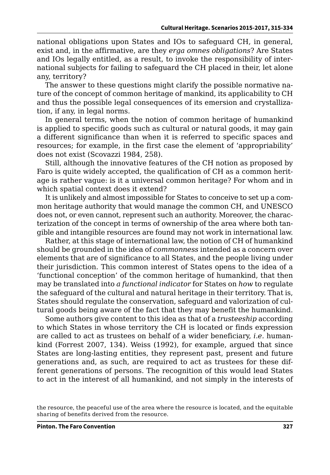national obligations upon States and IOs to safeguard CH, in general, exist and, in the affirmative, are they *erga omnes obligations*? Are States and IOs legally entitled, as a result, to invoke the responsibility of international subjects for failing to safeguard the CH placed in their, let alone any, territory?

The answer to these questions might clarify the possible normative nature of the concept of common heritage of mankind, its applicability to CH and thus the possible legal consequences of its emersion and crystallization, if any, in legal norms.

In general terms, when the notion of common heritage of humankind is applied to specific goods such as cultural or natural goods, it may gain a different significance than when it is referred to specific spaces and resources; for example, in the first case the element of 'appropriability' does not exist (Scovazzi 1984, 258).

Still, although the innovative features of the CH notion as proposed by Faro is quite widely accepted, the qualification of CH as a common heritage is rather vague: is it a universal common heritage? For whom and in which spatial context does it extend?

It is unlikely and almost impossible for States to conceive to set up a common heritage authority that would manage the common CH, and UNESCO does not, or even cannot, represent such an authority. Moreover, the characterization of the concept in terms of ownership of the area where both tangible and intangible resources are found may not work in international law.

Rather, at this stage of international law, the notion of CH of humankind should be grounded in the idea of *commonness* intended as a concern over elements that are of significance to all States, and the people living under their jurisdiction. This common interest of States opens to the idea of a 'functional conception' of the common heritage of humankind, that then may be translated into *a functional indicator* for States on *how* to regulate the safeguard of the cultural and natural heritage in their territory. That is, States should regulate the conservation, safeguard and valorization of cultural goods being aware of the fact that they may benefit the humankind.

Some authors give content to this idea as that of a *trusteeship* according to which States in whose territory the CH is located or finds expression are called to act as trustees on behalf of a wider beneficiary, *i.e.* humankind (Forrest 2007, 134). Weiss (1992), for example, argued that since States are long-lasting entities, they represent past, present and future generations and, as such, are required to act as trustees for these different generations of persons. The recognition of this would lead States to act in the interest of all humankind, and not simply in the interests of

the resource, the peaceful use of the area where the resource is located, and the equitable sharing of benefits derived from the resource.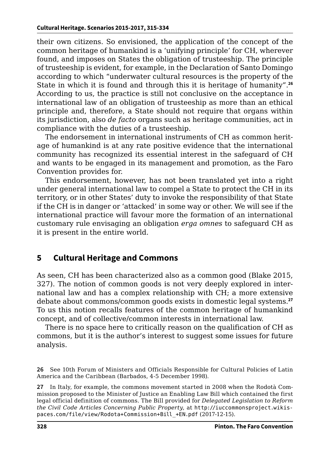their own citizens. So envisioned, the application of the concept of the common heritage of humankind is a 'unifying principle' for CH, wherever found, and imposes on States the obligation of trusteeship. The principle of trusteeship is evident, for example, in the Declaration of Santo Domingo according to which "underwater cultural resources is the property of the State in which it is found and through this it is heritage of humanity".**<sup>26</sup>** According to us, the practice is still not conclusive on the acceptance in international law of an obligation of trusteeship as more than an ethical principle and, therefore, a State should not require that organs within its jurisdiction, also *de facto* organs such as heritage communities, act in compliance with the duties of a trusteeship.

The endorsement in international instruments of CH as common heritage of humankind is at any rate positive evidence that the international community has recognized its essential interest in the safeguard of CH and wants to be engaged in its management and promotion, as the Faro Convention provides for.

This endorsement, however, has not been translated yet into a right under general international law to compel a State to protect the CH in its territory, or in other States' duty to invoke the responsibility of that State if the CH is in danger or 'attacked' in some way or other. We will see if the international practice will favour more the formation of an international customary rule envisaging an obligation *erga omnes* to safeguard CH as it is present in the entire world.

## **5 Cultural Heritage and Commons**

As seen, CH has been characterized also as a common good (Blake 2015, 327). The notion of common goods is not very deeply explored in international law and has a complex relationship with CH; a more extensive debate about commons/common goods exists in domestic legal systems.**<sup>27</sup>** To us this notion recalls features of the common heritage of humankind concept, and of collective/common interests in international law.

There is no space here to critically reason on the qualification of CH as commons, but it is the author's interest to suggest some issues for future analysis.

**27** In Italy, for example, the commons movement started in 2008 when the Rodotà Commission proposed to the Minister of Justice an Enabling Law Bill which contained the first legal official definition of commons. The Bill provided for *Delegated Legislation to Reform the Civil Code Articles Concerning Public Property*, at [http://iuccommonsproject.wikis](http://iuccommonsproject.wikispaces.com/file/view/Rodota+Commission+Bill_+EN.pdf)[paces.com/file/view/Rodota+Commission+Bill\\_+EN.pdf](http://iuccommonsproject.wikispaces.com/file/view/Rodota+Commission+Bill_+EN.pdf) (2017-12-15).

**<sup>26</sup>** See 10th Forum of Ministers and Officials Responsible for Cultural Policies of Latin America and the Caribbean (Barbados, 4-5 December 1998).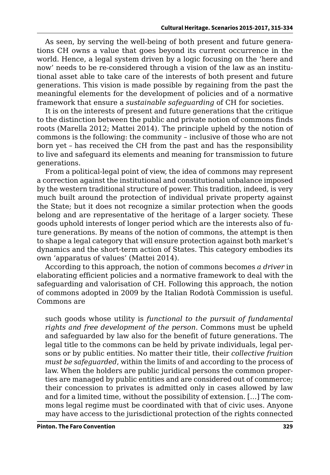As seen, by serving the well-being of both present and future generations CH owns a value that goes beyond its current occurrence in the world. Hence, a legal system driven by a logic focusing on the 'here and now' needs to be re-considered through a vision of the law as an institutional asset able to take care of the interests of both present and future generations. This vision is made possible by regaining from the past the meaningful elements for the development of policies and of a normative framework that ensure a *sustainable safeguarding* of CH for societies.

It is on the interests of present and future generations that the critique to the distinction between the public and private notion of commons finds roots (Marella 2012; Mattei 2014). The principle upheld by the notion of commons is the following: the community – inclusive of those who are not born yet – has received the CH from the past and has the responsibility to live and safeguard its elements and meaning for transmission to future generations.

From a political-legal point of view, the idea of commons may represent a correction against the institutional and constitutional unbalance imposed by the western traditional structure of power. This tradition, indeed, is very much built around the protection of individual private property against the State; but it does not recognize a similar protection when the goods belong and are representative of the heritage of a larger society. These goods uphold interests of longer period which are the interests also of future generations. By means of the notion of commons, the attempt is then to shape a legal category that will ensure protection against both market's dynamics and the short-term action of States. This category embodies its own 'apparatus of values' (Mattei 2014).

According to this approach, the notion of commons becomes *a driver* in elaborating efficient policies and a normative framework to deal with the safeguarding and valorisation of CH. Following this approach, the notion of commons adopted in 2009 by the Italian Rodotà Commission is useful. Commons are

such goods whose utility is *functional to the pursuit of fundamental rights and free development of the person*. Commons must be upheld and safeguarded by law also for the benefit of future generations. The legal title to the commons can be held by private individuals, legal persons or by public entities. No matter their title, their *collective fruition must be safeguarded*, within the limits of and according to the process of law. When the holders are public juridical persons the common properties are managed by public entities and are considered out of commerce; their concession to privates is admitted only in cases allowed by law and for a limited time, without the possibility of extension. […] The commons legal regime must be coordinated with that of civic uses. Anyone may have access to the jurisdictional protection of the rights connected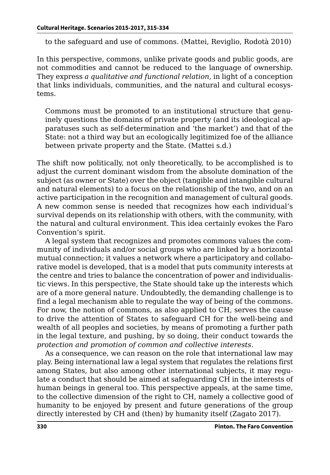to the safeguard and use of commons. (Mattei, Reviglio, Rodotà 2010)

In this perspective, commons, unlike private goods and public goods, are not commodities and cannot be reduced to the language of ownership. They express *a qualitative and functional relation*, in light of a conception that links individuals, communities, and the natural and cultural ecosystems.

Commons must be promoted to an institutional structure that genuinely questions the domains of private property (and its ideological apparatuses such as self-determination and 'the market') and that of the State: not a third way but an ecologically legitimized foe of the alliance between private property and the State. (Mattei s.d.)

The shift now politically, not only theoretically, to be accomplished is to adjust the current dominant wisdom from the absolute domination of the subject (as owner or State) over the object (tangible and intangible cultural and natural elements) to a focus on the relationship of the two, and on an active participation in the recognition and management of cultural goods. A new common sense is needed that recognizes how each individual's survival depends on its relationship with others, with the community, with the natural and cultural environment. This idea certainly evokes the Faro Convention's spirit.

A legal system that recognizes and promotes commons values the community of individuals and/or social groups who are linked by a horizontal mutual connection; it values a network where a participatory and collaborative model is developed, that is a model that puts community interests at the centre and tries to balance the concentration of power and individualistic views. In this perspective, the State should take up the interests which are of a more general nature. Undoubtedly, the demanding challenge is to find a legal mechanism able to regulate the way of being of the commons. For now, the notion of commons, as also applied to CH, serves the cause to drive the attention of States to safeguard CH for the well-being and wealth of all peoples and societies, by means of promoting a further path in the legal texture, and pushing, by so doing, their conduct towards the *protection and promotion of common and collective interests*.

As a consequence, we can reason on the role that international law may play. Being international law a legal system that regulates the relations first among States, but also among other international subjects, it may regulate a conduct that should be aimed at safeguarding CH in the interests of human beings in general too. This perspective appeals, at the same time, to the collective dimension of the right to CH, namely a collective good of humanity to be enjoyed by present and future generations of the group directly interested by CH and (then) by humanity itself (Zagato 2017).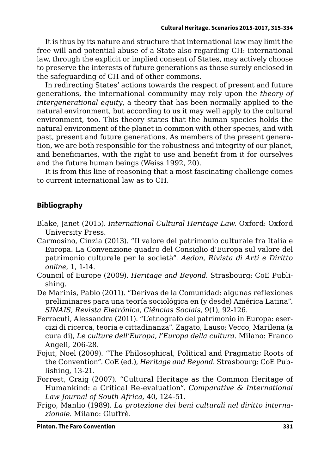It is thus by its nature and structure that international law may limit the free will and potential abuse of a State also regarding CH: international law, through the explicit or implied consent of States, may actively choose to preserve the interests of future generations as those surely enclosed in the safeguarding of CH and of other commons.

In redirecting States' actions towards the respect of present and future generations, the international community may rely upon the *theory of intergenerational equity*, a theory that has been normally applied to the natural environment, but according to us it may well apply to the cultural environment, too. This theory states that the human species holds the natural environment of the planet in common with other species, and with past, present and future generations. As members of the present generation, we are both responsible for the robustness and integrity of our planet, and beneficiaries, with the right to use and benefit from it for ourselves and the future human beings (Weiss 1992, 20).

It is from this line of reasoning that a most fascinating challenge comes to current international law as to CH.

#### **Bibliography**

- Blake, Janet (2015). *International Cultural Heritage Law*. Oxford: Oxford University Press.
- Carmosino, Cinzia (2013). "Il valore del patrimonio culturale fra Italia e Europa. La Convenzione quadro del Consiglio d'Europa sul valore del patrimonio culturale per la società". *Aedon, Rivista di Arti e Diritto online*, 1, 1-14.
- Council of Europe (2009). *Heritage and Beyond*. Strasbourg: CoE Publishing.
- De Marinis, Pablo (2011). "Derivas de la Comunidad: algunas reflexiones preliminares para una teoría sociológica en (y desde) América Latina". *SINAIS, Revista Eletrônica, Ciências Sociais*, 9(1), 92-126.
- Ferracuti, Alessandra (2011). "L'etnografo del patrimonio in Europa: esercizi di ricerca, teoria e cittadinanza". Zagato, Lauso; Vecco, Marilena (a cura di), *Le culture dell'Europa, l'Europa della cultura*. Milano: Franco Angeli, 206-28.
- Fojut, Noel (2009). "The Philosophical, Political and Pragmatic Roots of the Convention". CoE (ed.), *Heritage and Beyond*. Strasbourg: CoE Publishing, 13-21.
- Forrest, Craig (2007). "Cultural Heritage as the Common Heritage of Humankind: a Critical Re-evaluation". *Comparative & International Law Journal of South Africa*, 40, 124-51.
- Frigo, Manlio (1989). *La protezione dei beni culturali nel diritto internazionale*. Milano: Giuffrè.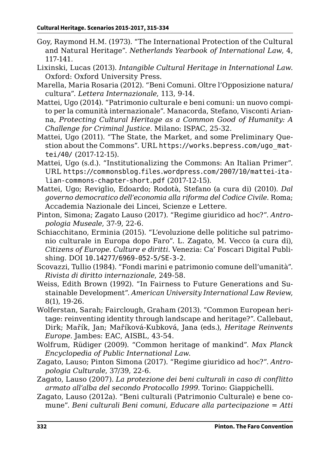- Goy, Raymond H.M. (1973). "The International Protection of the Cultural and Natural Heritage". *Netherlands Yearbook of International Law*, 4, 117-141.
- Lixinski, Lucas (2013). *Intangible Cultural Heritage in International Law*. Oxford: Oxford University Press.
- Marella, Maria Rosaria (2012). "Beni Comuni. Oltre l'Opposizione natura/ cultura". *Lettera Internazionale*, 113, 9-14.
- Mattei, Ugo (2014). "Patrimonio culturale e beni comuni: un nuovo compito per la comunità internazionale". Manacorda, Stefano, Visconti Arianna, *Protecting Cultural Heritage as a Common Good of Humanity: A Challenge for Criminal Justice*. Milano: ISPAC, 25-32.
- Mattei, Ugo (2011). "The State, the Market, and some Preliminary Question about the Commons". URL [https://works.bepress.com/ugo\\_mat](https://works.bepress.com/ugo_mattei/40/)[tei/40/](https://works.bepress.com/ugo_mattei/40/) (2017-12-15).
- Mattei, Ugo (s.d.). "Institutionalizing the Commons: An Italian Primer". URL [https://commonsblog.files.wordpress.com/2007/10/mattei-ita](https://commonsblog.files.wordpress.com/2007/10/mattei-italian-commons-chapter-short.pdf)[lian-commons-chapter-short.pdf](https://commonsblog.files.wordpress.com/2007/10/mattei-italian-commons-chapter-short.pdf) (2017-12-15).
- Mattei, Ugo; Reviglio, Edoardo; Rodotà, Stefano (a cura di) (2010). *Dal governo democratico dell'economia alla riforma del Codice Civile*. Roma; Accademia Nazionale dei Lincei, Scienze e Lettere.
- Pinton, Simona; Zagato Lauso (2017). "Regime giuridico ad hoc?". *Antropologia Museale*, 37-9, 22-6.
- Schiacchitano, Erminia (2015). "L'evoluzione delle politiche sul patrimonio culturale in Europa dopo Faro". L. Zagato, M. Vecco (a cura di), *Citizens of Europe. Culture e diritti*. Venezia: Ca' Foscari Digital Publishing. DOI [10.14277/6969-052-5/SE-3-2](http://doi.org/10.14277/6969-052-5/SE-3-2).
- Scovazzi, Tullio (1984). "Fondi marini e patrimonio comune dell'umanità". *Rivista di diritto internazionale*, 249-58.
- Weiss, Edith Brown (1992). "In Fairness to Future Generations and Sustainable Development"*. American University International Law Review*, 8(1), 19-26.
- Wolferstan, Sarah; Fairclough, Graham (2013). "Common European heritage: reinventing identity through landscape and heritage?". Callebaut, Dirk; Mařík, Jan; Maříková-Kubková, Jana (eds.), *Heritage Reinvents Europe*. Jambes: EAC, AISBL, 43-54.
- Wolfrum, Rüdiger (2009). "Common heritage of mankind". *Max Planck Encyclopedia of Public International Law*.
- Zagato, Lauso; Pinton Simona (2017). "Regime giuridico ad hoc?". *Antropologia Culturale*, 37/39, 22-6.
- Zagato, Lauso (2007). *La protezione dei beni culturali in caso di conflitto armato all'alba del secondo Protocollo 1999*. Torino: Giappichelli.
- Zagato, Lauso (2012a). "Beni culturali (Patrimonio Culturale) e bene comune". *Beni culturali Beni comuni, Educare alla partecipazione* = *Atti*